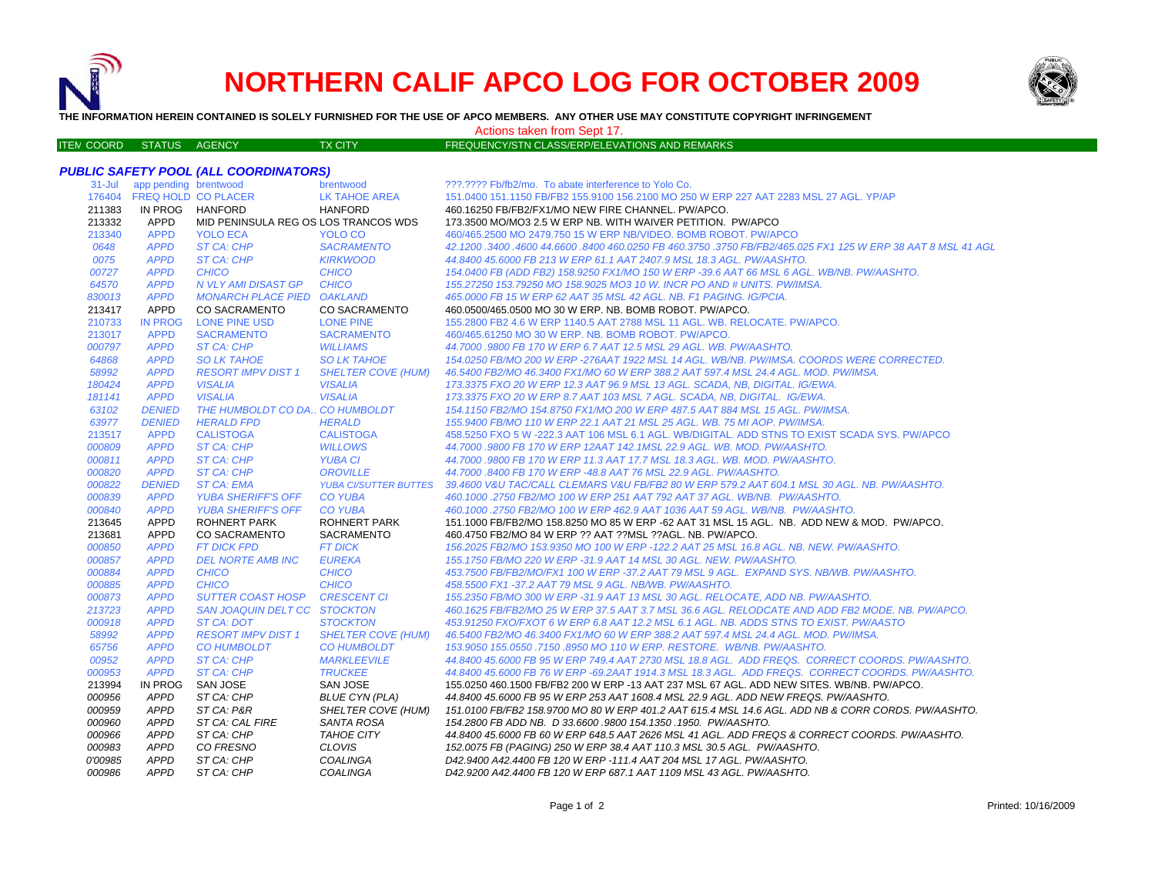

ITE M

# **NORTHERN CALIF APCO LOG FOR OCTOBER 2009**



**THE INFORMATION HEREIN CONTAINED IS SOLELY FURNISHED FOR THE USE OF APCO MEMBERS. ANY OTHER USE MAY CONSTITUTE COPYRIGHT INFRINGEMENT**

Actions taken from Sept 17.

#### TX CITY FREQUENCY/STN CLASS/ERP/ELEVATIONS AND REMARKS

## *PUBLIC SAFETY POOL (ALL COORDINATORS)*

| $31 -$ Jul       | app pending brentwood      |                                      | brentwood                    | ???.???? Fb/fb2/mo. To abate interference to Yolo Co.                                                      |
|------------------|----------------------------|--------------------------------------|------------------------------|------------------------------------------------------------------------------------------------------------|
| 176404           | <b>FREQ HOLD CO PLACER</b> |                                      | <b>LK TAHOE AREA</b>         | 151.0400 151.1150 FB/FB2 155.9100 156.2100 MO 250 W ERP 227 AAT 2283 MSL 27 AGL. YP/AP                     |
| 211383           | IN PROG HANFORD            |                                      | <b>HANFORD</b>               | 460.16250 FB/FB2/FX1/MO NEW FIRE CHANNEL, PW/APCO.                                                         |
| 213332           | APPD                       | MID PENINSULA REG OS LOS TRANCOS WDS |                              | 173.3500 MO/MO3 2.5 W ERP NB, WITH WAIVER PETITION. PW/APCO                                                |
| 213340           | <b>APPD</b>                | <b>YOLO ECA</b>                      | YOLO CO                      | 460/465.2500 MO 2479.750 15 W ERP NB/VIDEO. BOMB ROBOT. PW/APCO                                            |
| 0648             | <b>APPD</b>                | ST CA: CHP                           | <b>SACRAMENTO</b>            | 42.1200.3400.4600 44.6600.8400 460.0250 FB 460.3750 .3750 FB/FB2/465.025 FX1 125 W ERP 38 AAT 8 MSL 41 AGL |
| 0075             | <b>APPD</b>                | ST CA: CHP                           | <b>KIRKWOOD</b>              | 44.8400 45.6000 FB 213 W ERP 61.1 AAT 2407.9 MSL 18.3 AGL, PW/AASHTO.                                      |
| 00727            | <b>APPD</b>                | <b>CHICO</b>                         | <b>CHICO</b>                 | 154,0400 FB (ADD FB2) 158,9250 FX1/MO 150 W ERP -39.6 AAT 66 MSL 6 AGL. WB/NB, PW/AASHTO,                  |
| 64570            | <b>APPD</b>                | N VLY AMI DISAST GP                  | <b>CHICO</b>                 | 155.27250 153.79250 MO 158.9025 MO3 10 W. INCR PO AND # UNITS, PW/IMSA.                                    |
| 830013           | <b>APPD</b>                | <b>MONARCH PLACE PIED OAKLAND</b>    |                              | 465,0000 FB 15 W ERP 62 AAT 35 MSL 42 AGL, NB, F1 PAGING, IG/PCIA.                                         |
| 213417           | APPD                       | <b>CO SACRAMENTO</b>                 | <b>CO SACRAMENTO</b>         | 460.0500/465.0500 MO 30 W ERP. NB. BOMB ROBOT. PW/APCO.                                                    |
| 210733           | <b>IN PROG</b>             | <b>LONE PINE USD</b>                 | <b>LONE PINE</b>             | 155,2800 FB2 4.6 W ERP 1140.5 AAT 2788 MSL 11 AGL, WB, RELOCATE, PW/APCO,                                  |
| 213017           | <b>APPD</b>                | <b>SACRAMENTO</b>                    | <b>SACRAMENTO</b>            | 460/465.61250 MO 30 W ERP. NB. BOMB ROBOT. PW/APCO.                                                        |
| 000797           | <b>APPD</b>                | ST CA: CHP                           | <b>WILLIAMS</b>              | 44.7000 .9800 FB 170 W ERP 6.7 AAT 12.5 MSL 29 AGL. WB. PW/AASHTO.                                         |
| 64868            | <b>APPD</b>                | <b>SO LK TAHOE</b>                   | <b>SO LK TAHOE</b>           | 154.0250 FB/MO 200 W ERP -276AAT 1922 MSL 14 AGL, WB/NB, PW/IMSA, COORDS WERE CORRECTED.                   |
| 58992            | <b>APPD</b>                | <b>RESORT IMPV DIST 1</b>            | <b>SHELTER COVE (HUM)</b>    | 46.5400 FB2/MO 46.3400 FX1/MO 60 W ERP 388.2 AAT 597.4 MSL 24.4 AGL. MOD. PW/IMSA.                         |
| 180424           | <b>APPD</b>                | <b>VISALIA</b>                       | <b>VISALIA</b>               | 173.3375 FXO 20 W ERP 12.3 AAT 96.9 MSL 13 AGL, SCADA, NB, DIGITAL, IG/EWA,                                |
| 181141           | <b>APPD</b>                | <b>VISALIA</b>                       | <b>VISALIA</b>               | 173.3375 FXO 20 W ERP 8.7 AAT 103 MSL 7 AGL. SCADA, NB, DIGITAL. IG/EWA.                                   |
| 63102            | <b>DENIED</b>              | THE HUMBOLDT CO DA., CO HUMBOLDT     |                              | 154.1150 FB2/MO 154.8750 FX1/MO 200 W ERP 487.5 AAT 884 MSL 15 AGL. PW/IMSA.                               |
| 63977            | <b>DENIED</b>              | <b>HERALD FPD</b>                    | <b>HERALD</b>                | 155,9400 FB/MO 110 W ERP 22.1 AAT 21 MSL 25 AGL, WB, 75 MI AOP, PW/IMSA.                                   |
| 213517           | <b>APPD</b>                | <b>CALISTOGA</b>                     | <b>CALISTOGA</b>             | 458.5250 FXO 5 W -222.3 AAT 106 MSL 6.1 AGL. WB/DIGITAL. ADD STNS TO EXIST SCADA SYS. PW/APCO              |
| 000809           | <b>APPD</b>                | ST CA: CHP                           | <b>WILLOWS</b>               | 44.7000 .9800 FB 170 W ERP 12AAT 142.1MSL 22.9 AGL. WB. MOD. PW/AASHTO.                                    |
| 000811           | <b>APPD</b>                | ST CA: CHP                           | <b>YUBA CI</b>               | 44.7000.9800 FB 170 W ERP 11.3 AAT 17.7 MSL 18.3 AGL, WB, MOD, PW/AASHTO,                                  |
| 000820           | <b>APPD</b>                | ST CA: CHP                           | <b>OROVILLE</b>              | 44.7000.8400 FB 170 W ERP -48.8 AAT 76 MSL 22.9 AGL. PW/AASHTO.                                            |
| 000822           | <b>DENIED</b>              | <b>ST CA: EMA</b>                    | <b>YUBA CI/SUTTER BUTTES</b> | 39.4600 V&U TAC/CALL CLEMARS V&U FB/FB2 80 W ERP 579.2 AAT 604.1 MSL 30 AGL. NB. PW/AASHTO.                |
| 000839           | <b>APPD</b>                | <b>YUBA SHERIFF'S OFF</b>            | <b>CO YUBA</b>               | 460.1000.2750 FB2/MO 100 W ERP 251 AAT 792 AAT 37 AGL. WB/NB. PW/AASHTO.                                   |
| 000840           | <b>APPD</b>                | <b>YUBA SHERIFF'S OFF</b>            | <b>CO YUBA</b>               | 460.1000.2750 FB2/MO 100 W ERP 462.9 AAT 1036 AAT 59 AGL. WB/NB. PW/AASHTO.                                |
| 213645           | <b>APPD</b>                | <b>ROHNERT PARK</b>                  | <b>ROHNERT PARK</b>          | 151.1000 FB/FB2/MO 158.8250 MO 85 W ERP -62 AAT 31 MSL 15 AGL, NB, ADD NEW & MOD, PW/APCO,                 |
| 213681           | <b>APPD</b>                | <b>CO SACRAMENTO</b>                 | SACRAMENTO                   | 460.4750 FB2/MO 84 W ERP ?? AAT ?? MSL ?? AGL. NB. PW/APCO.                                                |
| 000850           | <b>APPD</b>                | <b>FT DICK FPD</b>                   | <b>FT DICK</b>               | 156.2025 FB2/MO 153.9350 MO 100 W ERP -122.2 AAT 25 MSL 16.8 AGL. NB. NEW. PW/AASHTO.                      |
| 000857           | <b>APPD</b>                | <b>DEL NORTE AMB INC</b>             | <b>EUREKA</b>                | 155.1750 FB/MO 220 W ERP -31.9 AAT 14 MSL 30 AGL. NEW. PW/AASHTO.                                          |
| 000884           | <b>APPD</b>                | <b>CHICO</b>                         | <b>CHICO</b>                 | 453.7500 FB/FB2/MO/FX1 100 W ERP -37.2 AAT 79 MSL 9 AGL. EXPAND SYS. NB/WB. PW/AASHTO.                     |
| 000885           | <b>APPD</b>                | <b>CHICO</b>                         | <b>CHICO</b>                 | 458.5500 FX1-37.2 AAT 79 MSL 9 AGL, NB/WB, PW/AASHTO,                                                      |
| 000873           | <b>APPD</b>                | <b>SUTTER COAST HOSP</b>             | <b>CRESCENT CI</b>           | 155.2350 FB/MO 300 W ERP -31.9 AAT 13 MSL 30 AGL. RELOCATE. ADD NB. PW/AASHTO.                             |
| 213723           | <b>APPD</b>                | SAN JOAQUIN DELT CC STOCKTON         |                              | 460.1625 FB/FB2/MO 25 W ERP 37.5 AAT 3.7 MSL 36.6 AGL. RELODCATE AND ADD FB2 MODE. NB. PW/APCO.            |
| 000918           | <b>APPD</b>                | ST CA: DOT                           | <b>STOCKTON</b>              | 453,91250 FXO/FXOT 6 W ERP 6.8 AAT 12.2 MSL 6.1 AGL. NB. ADDS STNS TO EXIST. PW/AASTO                      |
| 58992            | <b>APPD</b>                | <b>RESORT IMPV DIST 1</b>            | <b>SHELTER COVE (HUM)</b>    | 46.5400 FB2/MO 46.3400 FX1/MO 60 W ERP 388.2 AAT 597.4 MSL 24.4 AGL. MOD. PW/IMSA.                         |
| 65756            | <b>APPD</b>                | <b>CO HUMBOLDT</b>                   | <b>CO HUMBOLDT</b>           | 153.9050 155.0550 .7150 .8950 MO 110 W ERP. RESTORE. WB/NB. PW/AASHTO.                                     |
| 00952            | <b>APPD</b>                | ST CA: CHP                           | <b>MARKLEEVILE</b>           | 44.8400 45.6000 FB 95 W ERP 749.4 AAT 2730 MSL 18.8 AGL. ADD FREQS. CORRECT COORDS. PW/AASHTO.             |
| 000953           | <b>APPD</b>                | ST CA: CHP                           | <b>TRUCKEE</b>               | 44.8400 45.6000 FB 76 W ERP -69.2AAT 1914.3 MSL 18.3 AGL, ADD FREQS, CORRECT COORDS, PW/AASHTO,            |
| 213994           | IN PROG                    | SAN JOSE                             | <b>SAN JOSE</b>              | 155.0250 460.1500 FB/FB2 200 W ERP -13 AAT 237 MSL 67 AGL. ADD NEW SITES, WB/NB, PW/APCO,                  |
|                  | <b>APPD</b>                | ST CA: CHP                           | <b>BLUE CYN (PLA)</b>        | 44.8400 45.6000 FB 95 W ERP 253 AAT 1608.4 MSL 22.9 AGL. ADD NEW FREQS. PW/AASHTO.                         |
| 000956<br>000959 | <b>APPD</b>                | ST CA: P&R                           | SHELTER COVE (HUM)           | 151.0100 FB/FB2 158.9700 MO 80 W ERP 401.2 AAT 615.4 MSL 14.6 AGL. ADD NB & CORR CORDS. PW/AASHTO.         |
| 000960           | <b>APPD</b>                | ST CA: CAL FIRE                      | <b>SANTA ROSA</b>            | 154.2800 FB ADD NB. D 33.6600 .9800 154.1350 .1950. PW/AASHTO.                                             |
| 000966           | <b>APPD</b>                | ST CA: CHP                           | <b>TAHOE CITY</b>            | 44.8400 45.6000 FB 60 W ERP 648.5 AAT 2626 MSL 41 AGL. ADD FREQS & CORRECT COORDS. PW/AASHTO.              |
| 000983           | <b>APPD</b>                | CO FRESNO                            | <b>CLOVIS</b>                | 152.0075 FB (PAGING) 250 W ERP 38.4 AAT 110.3 MSL 30.5 AGL. PW/AASHTO.                                     |
| 0'00985          | <b>APPD</b>                | ST CA: CHP                           | <b>COALINGA</b>              | D42.9400 A42.4400 FB 120 W ERP -111.4 AAT 204 MSL 17 AGL, PW/AASHTO.                                       |
| 000986           | <b>APPD</b>                |                                      | <b>COALINGA</b>              |                                                                                                            |
|                  |                            | ST CA: CHP                           |                              | D42.9200 A42.4400 FB 120 W ERP 687.1 AAT 1109 MSL 43 AGL. PW/AASHTO.                                       |